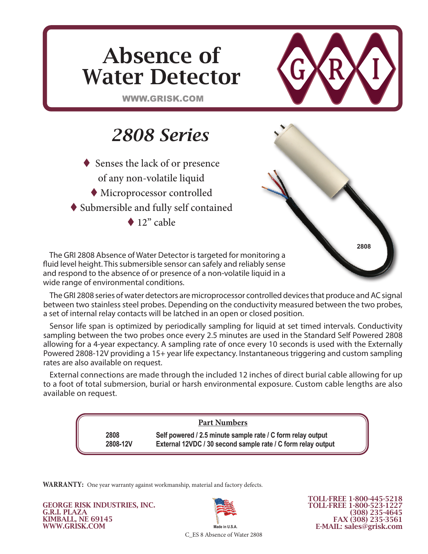

The GRI 2808 Absence of Water Detector is targeted for monitoring a fluid level height. This submersible sensor can safely and reliably sense and respond to the absence of or presence of a non-volatile liquid in a wide range of environmental conditions.

The GRI 2808 series of water detectors are microprocessor controlled devices that produce and AC signal between two stainless steel probes. Depending on the conductivity measured between the two probes, a set of internal relay contacts will be latched in an open or closed position.

Sensor life span is optimized by periodically sampling for liquid at set timed intervals. Conductivity sampling between the two probes once every 2.5 minutes are used in the Standard Self Powered 2808 allowing for a 4-year expectancy. A sampling rate of once every 10 seconds is used with the Externally Powered 2808-12V providing a 15+ year life expectancy. Instantaneous triggering and custom sampling rates are also available on request.

External connections are made through the included 12 inches of direct burial cable allowing for up to a foot of total submersion, burial or harsh environmental exposure. Custom cable lengths are also available on request.

## **Part Numbers**

**2808 Self powered / 2.5 minute sample rate / C form relay output 2808-12V External 12VDC / 30 second sample rate / C form relay output**

**WARRANTY:** One year warranty against workmanship, material and factory defects.

GEORGE RISK INDUSTRIES, INC. G.R.I. PLAZA KIMBALL, NE 69145 WWW.GRISK.COM



C\_ES 8 Absence of Water 2808

TOLL-FREE 1-800-445-5218 TOLL-FREE 1-800-523-1227 (308) 235-4645 FAX (308) 235-3561 E-MAIL: sales@grisk.com